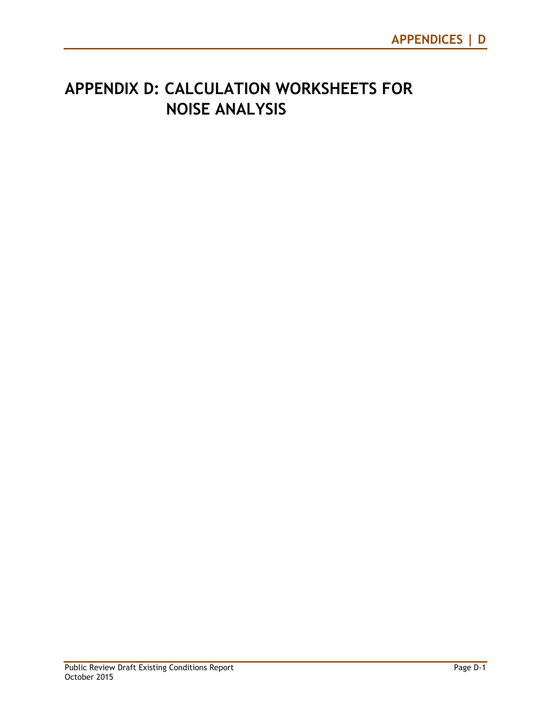# **APPENDIX D: CALCULATION WORKSHEETS FOR NOISE ANALYSIS**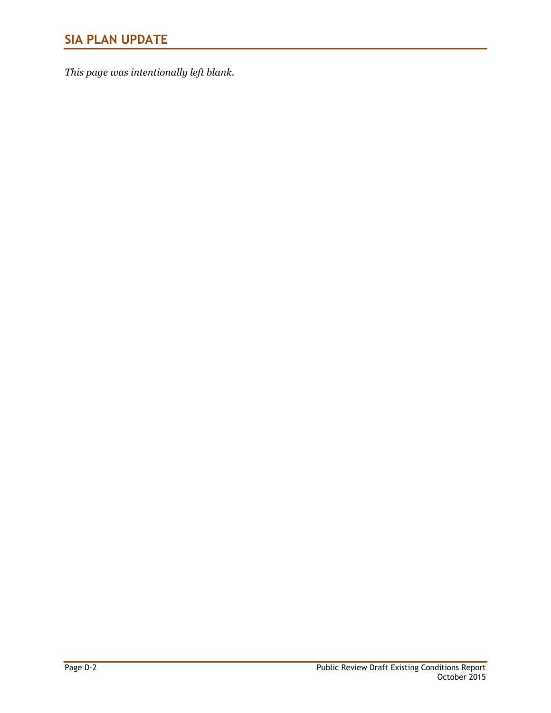# **SIA PLAN UPDATE**

*This page was intentionally left blank.*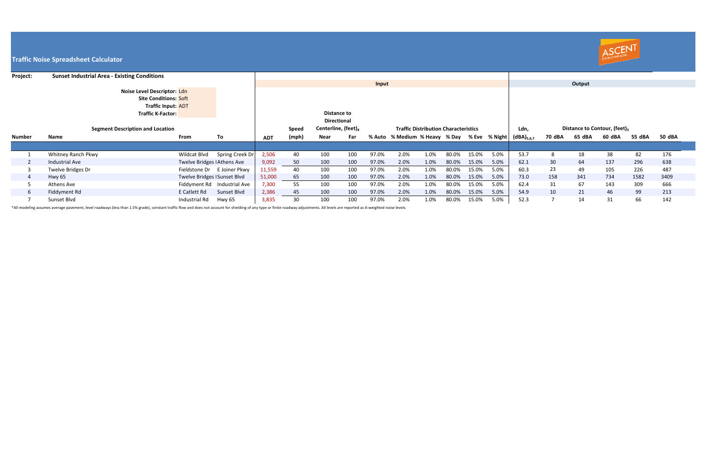#### **Traffic Noise Spreadsheet Calculator**

| Project:                                | <b>Sunset Industrial Area - Existing Conditions</b> |                             |                             |            |              |                                 |     |       |                                             |                                             |       |       |        |                        |                 |                              |        |        |        |
|-----------------------------------------|-----------------------------------------------------|-----------------------------|-----------------------------|------------|--------------|---------------------------------|-----|-------|---------------------------------------------|---------------------------------------------|-------|-------|--------|------------------------|-----------------|------------------------------|--------|--------|--------|
|                                         |                                                     |                             |                             |            |              | Input                           |     |       |                                             |                                             |       |       | Output |                        |                 |                              |        |        |        |
|                                         | Noise Level Descriptor: Ldn                         |                             |                             |            |              |                                 |     |       |                                             |                                             |       |       |        |                        |                 |                              |        |        |        |
|                                         | <b>Site Conditions: Soft</b>                        |                             |                             |            |              |                                 |     |       |                                             |                                             |       |       |        |                        |                 |                              |        |        |        |
|                                         | <b>Traffic Input: ADT</b>                           |                             |                             |            |              |                                 |     |       |                                             |                                             |       |       |        |                        |                 |                              |        |        |        |
|                                         | <b>Traffic K-Factor:</b>                            |                             |                             |            |              | <b>Distance to</b>              |     |       |                                             |                                             |       |       |        |                        |                 |                              |        |        |        |
|                                         |                                                     |                             |                             |            |              | <b>Directional</b>              |     |       |                                             |                                             |       |       |        |                        |                 |                              |        |        |        |
| <b>Segment Description and Location</b> |                                                     |                             |                             |            | <b>Speed</b> | Centerline, (feet) <sub>a</sub> |     |       |                                             | <b>Traffic Distribution Characteristics</b> |       |       |        | Ldn,                   |                 | Distance to Contour, (feet)3 |        |        |        |
| Number                                  | Name                                                | From                        | To                          | <b>ADT</b> | (mph)        | Near                            | Far |       | % Auto % Medium % Heavy % Day % Eve % Night |                                             |       |       |        | (dBA) <sub>5,6,7</sub> | <b>70 dBA</b>   | 65 dBA                       | 60 dBA | 55 dBA | 50 dBA |
|                                         |                                                     |                             |                             |            |              |                                 |     |       |                                             |                                             |       |       |        |                        |                 |                              |        |        |        |
|                                         | Whitney Ranch Pkwy                                  | Wildcat Blvd                | Spring Creek Dr             | 2,506      | 40           | 100                             | 100 | 97.0% | 2.0%                                        | 1.0%                                        | 80.0% | 15.0% | 5.0%   | 53.7                   | 8               | 18                           | 38     | 82     | 176    |
|                                         | Industrial Ave                                      | Twelve Bridges IAthens Ave  |                             | 9,092      | 50           | 100                             | 100 | 97.0% | 2.0%                                        | 1.0%                                        | 80.0% | 15.0% | 5.0%   | 62.1                   | 30 <sup>°</sup> | 64                           | 137    | 296    | 638    |
|                                         | Twelve Bridges Dr                                   |                             | Fieldstone Dr E Joiner Pkwy | 11,559     | 40           | 100                             | 100 | 97.0% | 2.0%                                        | 1.0%                                        | 80.0% | 15.0% | 5.0%   | 60.3                   | 23              | 49                           | 105    | 226    | 487    |
| 4                                       | Hwy 65                                              | Twelve Bridges ISunset Blvd |                             | 51,000     | 65           | 100                             | 100 | 97.0% | 2.0%                                        | 1.0%                                        | 80.0% | 15.0% | 5.0%   | 73.0                   | 158             | 341                          | 734    | 1582   | 3409   |
|                                         | Athens Ave                                          |                             | Fiddyment Rd Industrial Ave | 7,300      | 55           | 100                             | 100 | 97.0% | 2.0%                                        | 1.0%                                        | 80.0% | 15.0% | 5.0%   | 62.4                   | 31              | 67                           | 143    | 309    | 666    |
|                                         | Fiddyment Rd                                        | E Catlett Rd                | Sunset Blvd                 | 2,386      | 45           | 100                             | 100 | 97.0% | 2.0%                                        | 1.0%                                        | 80.0% | 15.0% | 5.0%   | 54.9                   | 10 <sup>°</sup> | 21                           | 46     | 99     | 213    |
|                                         | Sunset Blvd                                         | Industrial Rd               | Hwy 65                      | 3,835      | 30           | 100                             | 100 | 97.0% | 2.0%                                        | 1.0%                                        | 80.0% | 15.0% | 5.0%   | 52.3                   |                 | 14                           | 31     | 66     | 142    |

\*All modeling assumes average pavement, level roadways (less than 1.5% grade), constant traffic flow and does not account for shielding of any type or finite roadway adjustments. All levels are reported as A-weighted noise

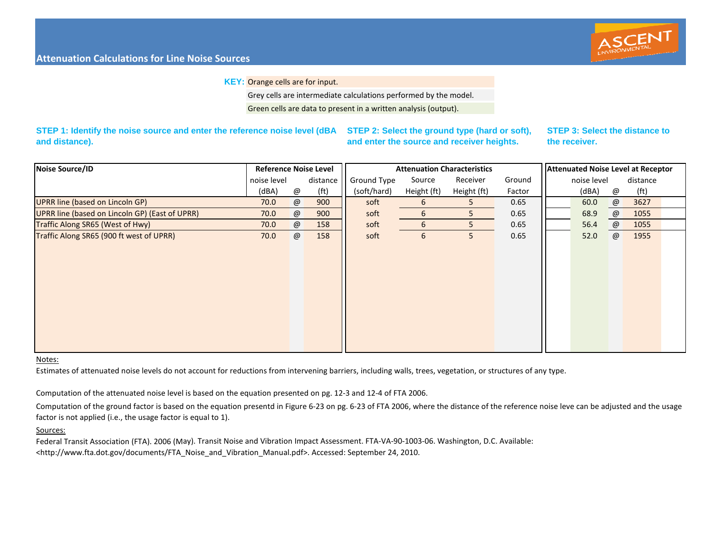

**KEY:** Orange cells are for input.

Grey cells are intermediate calculations performed by the model.

Green cells are data to present in <sup>a</sup> written analysis (output).

#### **STEP 1: Identify the noise source and enter the reference noise level (dBA and distance).**

**STEP 2: Select the ground type (hard or soft), and enter the source and receiver heights.**

**STEP 3: Select the distance to the receiver.**

| <b>Noise Source/ID</b>                         | <b>Reference Noise Level</b> |                           |                   | <b>Attenuation Characteristics</b> |             |             |        |  | <b>Attenuated Noise Level at Receptor</b> |                           |                   |  |  |
|------------------------------------------------|------------------------------|---------------------------|-------------------|------------------------------------|-------------|-------------|--------|--|-------------------------------------------|---------------------------|-------------------|--|--|
|                                                | noise level                  |                           | distance          | Ground Type                        | Source      | Receiver    | Ground |  | noise level                               |                           | distance          |  |  |
|                                                | (dBA)                        | @                         | (f <sup>t</sup> ) | (soft/hard)                        | Height (ft) | Height (ft) | Factor |  | (dBA)                                     | @                         | (f <sup>t</sup> ) |  |  |
| UPRR line (based on Lincoln GP)                | 70.0                         | $^\text{\textregistered}$ | 900               | soft                               | 6           | 5           | 0.65   |  | 60.0                                      | $^{\copyright}$           | 3627              |  |  |
| UPRR line (based on Lincoln GP) (East of UPRR) | 70.0                         | $^\text{\textregistered}$ | 900               | soft                               | 6           | 5.          | 0.65   |  | 68.9                                      | $^\copyright$             | 1055              |  |  |
| Traffic Along SR65 (West of Hwy)               | 70.0                         | $^\text{\textregistered}$ | 158               | soft                               | 6           | 5           | 0.65   |  | 56.4                                      | $^\text{\textregistered}$ | 1055              |  |  |
| Traffic Along SR65 (900 ft west of UPRR)       | 70.0                         | $^\copyright$             | 158               | soft                               | 6           | 5           | 0.65   |  | 52.0                                      | $^\copyright$             | 1955              |  |  |
|                                                |                              |                           |                   |                                    |             |             |        |  |                                           |                           |                   |  |  |
|                                                |                              |                           |                   |                                    |             |             |        |  |                                           |                           |                   |  |  |

#### Notes:

Estimates of attenuated noise levels do not account for reductions from intervening barriers, including walls, trees, vegetation, or structures of any type.

Computation of the attenuated noise level is based on the equation presented on pg. 12‐3 and 12‐4 of FTA 2006.

Computation of the ground factor is based on the equation presentd in Figure 6‐23 on pg. 6‐23 of FTA 2006, where the distance of the reference noise leve can be adjusted and the usage factor is not applied (i.e., the usage factor is equal to 1).

#### Sources:

Federal Transit Association (FTA). 2006 (May). Transit Noise and Vibration Impact Assessment. FTA‐VA‐90‐1003‐06. Washington, D.C. Available: <http://www.fta.dot.gov/documents/FTA\_Noise\_and\_Vibration\_Manual.pdf>. Accessed: September 24, 2010.